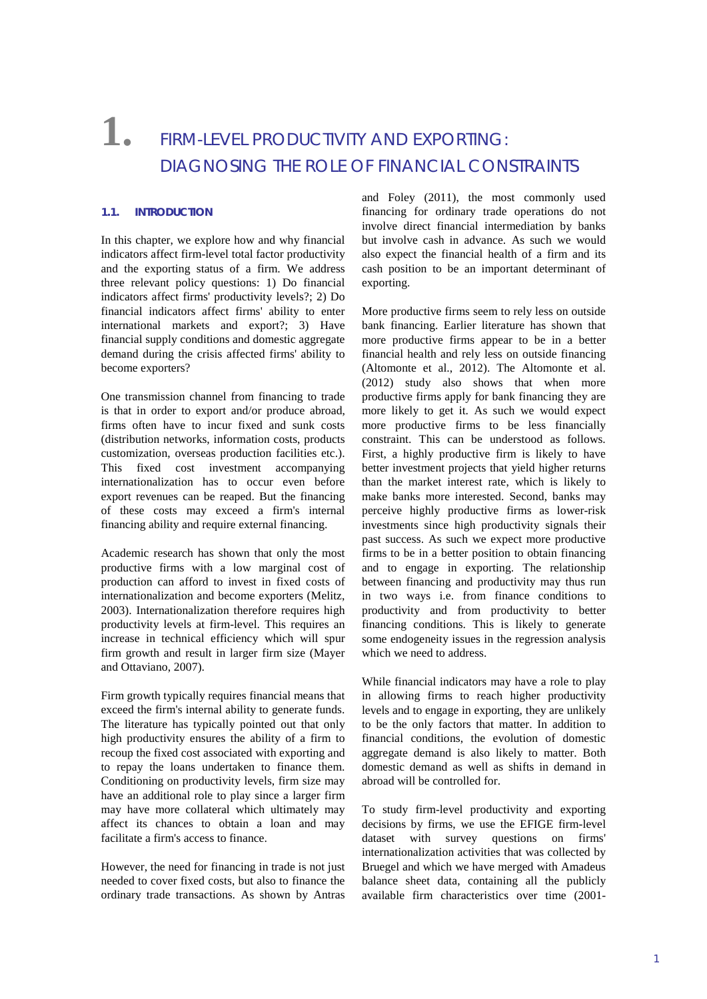# **1.** FIRM-LEVEL PRODUCTIVITY AND EXPORTING: DIAGNOSING THE ROLE OF FINANCIAL CONSTRAINTS

### **1.1. INTRODUCTION**

In this chapter, we explore how and why financial indicators affect firm-level total factor productivity and the exporting status of a firm. We address three relevant policy questions: 1) Do financial indicators affect firms' productivity levels?; 2) Do financial indicators affect firms' ability to enter international markets and export?; 3) Have financial supply conditions and domestic aggregate demand during the crisis affected firms' ability to become exporters?

One transmission channel from financing to trade is that in order to export and/or produce abroad, firms often have to incur fixed and sunk costs (distribution networks, information costs, products customization, overseas production facilities etc.). This fixed cost investment accompanying internationalization has to occur even before export revenues can be reaped. But the financing of these costs may exceed a firm's internal financing ability and require external financing.

Academic research has shown that only the most productive firms with a low marginal cost of production can afford to invest in fixed costs of internationalization and become exporters (Melitz, 2003). Internationalization therefore requires high productivity levels at firm-level. This requires an increase in technical efficiency which will spur firm growth and result in larger firm size (Mayer and Ottaviano, 2007).

Firm growth typically requires financial means that exceed the firm's internal ability to generate funds. The literature has typically pointed out that only high productivity ensures the ability of a firm to recoup the fixed cost associated with exporting and to repay the loans undertaken to finance them. Conditioning on productivity levels, firm size may have an additional role to play since a larger firm may have more collateral which ultimately may affect its chances to obtain a loan and may facilitate a firm's access to finance.

However, the need for financing in trade is not just needed to cover fixed costs, but also to finance the ordinary trade transactions. As shown by Antras

and Foley (2011), the most commonly used financing for ordinary trade operations do not involve direct financial intermediation by banks but involve cash in advance. As such we would also expect the financial health of a firm and its cash position to be an important determinant of exporting.

More productive firms seem to rely less on outside bank financing. Earlier literature has shown that more productive firms appear to be in a better financial health and rely less on outside financing (Altomonte et al., 2012). The Altomonte et al. (2012) study also shows that when more productive firms apply for bank financing they are more likely to get it. As such we would expect more productive firms to be less financially constraint. This can be understood as follows. First, a highly productive firm is likely to have better investment projects that yield higher returns than the market interest rate, which is likely to make banks more interested. Second, banks may perceive highly productive firms as lower-risk investments since high productivity signals their past success. As such we expect more productive firms to be in a better position to obtain financing and to engage in exporting. The relationship between financing and productivity may thus run in two ways i.e. from finance conditions to productivity and from productivity to better financing conditions. This is likely to generate some endogeneity issues in the regression analysis which we need to address.

While financial indicators may have a role to play in allowing firms to reach higher productivity levels and to engage in exporting, they are unlikely to be the only factors that matter. In addition to financial conditions, the evolution of domestic aggregate demand is also likely to matter. Both domestic demand as well as shifts in demand in abroad will be controlled for.

To study firm-level productivity and exporting decisions by firms, we use the EFIGE firm-level dataset with survey questions on firms' internationalization activities that was collected by Bruegel and which we have merged with Amadeus balance sheet data, containing all the publicly available firm characteristics over time (2001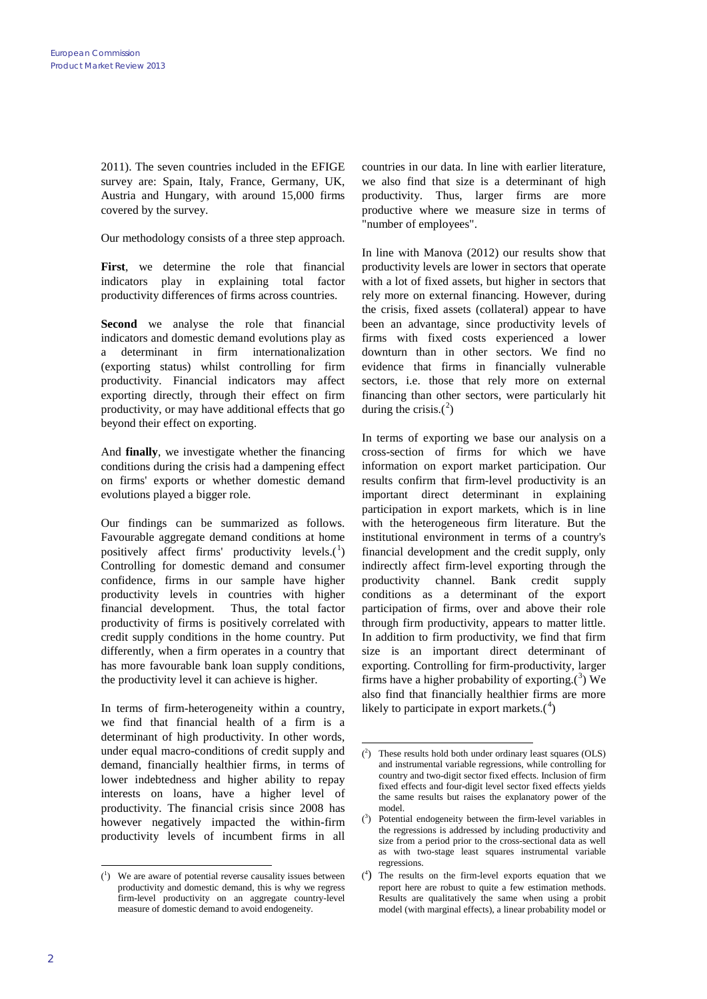2011). The seven countries included in the EFIGE survey are: Spain, Italy, France, Germany, UK, Austria and Hungary, with around 15,000 firms covered by the survey.

Our methodology consists of a three step approach.

**First**, we determine the role that financial indicators play in explaining total factor productivity differences of firms across countries.

**Second** we analyse the role that financial indicators and domestic demand evolutions play as a determinant in firm internationalization (exporting status) whilst controlling for firm productivity. Financial indicators may affect exporting directly, through their effect on firm productivity, or may have additional effects that go beyond their effect on exporting.

And **finally**, we investigate whether the financing conditions during the crisis had a dampening effect on firms' exports or whether domestic demand evolutions played a bigger role.

Our findings can be summarized as follows. Favourable aggregate demand conditions at home positively affect firms' productivity levels. $(^{1})$  $(^{1})$  $(^{1})$ Controlling for domestic demand and consumer confidence, firms in our sample have higher productivity levels in countries with higher financial development. Thus, the total factor productivity of firms is positively correlated with credit supply conditions in the home country. Put differently, when a firm operates in a country that has more favourable bank loan supply conditions, the productivity level it can achieve is higher.

<span id="page-1-1"></span>In terms of firm-heterogeneity within a country, we find that financial health of a firm is a determinant of high productivity. In other words, under equal macro-conditions of credit supply and demand, financially healthier firms, in terms of lower indebtedness and higher ability to repay interests on loans, have a higher level of productivity. The financial crisis since 2008 has however negatively impacted the within-firm productivity levels of incumbent firms in all

countries in our data. In line with earlier literature, we also find that size is a determinant of high productivity. Thus, larger firms are more productive where we measure size in terms of "number of employees".

In line with Manova (2012) our results show that productivity levels are lower in sectors that operate with a lot of fixed assets, but higher in sectors that rely more on external financing. However, during the crisis, fixed assets (collateral) appear to have been an advantage, since productivity levels of firms with fixed costs experienced a lower downturn than in other sectors. We find no evidence that firms in financially vulnerable sectors, i.e. those that rely more on external financing than other sectors, were particularly hit during the crisis. $(2)$  $(2)$  $(2)$ 

In terms of exporting we base our analysis on a cross-section of firms for which we have information on export market participation. Our results confirm that firm-level productivity is an important direct determinant in explaining participation in export markets, which is in line with the heterogeneous firm literature. But the institutional environment in terms of a country's financial development and the credit supply, only indirectly affect firm-level exporting through the productivity channel. Bank credit supply conditions as a determinant of the export participation of firms, over and above their role through firm productivity, appears to matter little. In addition to firm productivity, we find that firm size is an important direct determinant of exporting. Controlling for firm-productivity, larger firms have a higher probability of exporting. $(^3)$  $(^3)$  $(^3)$  We also find that financially healthier firms are more likely to participate in export markets. $(1)$ 

<span id="page-1-3"></span><span id="page-1-2"></span><span id="page-1-0"></span><sup>-&</sup>lt;br>( <sup>1</sup>) We are aware of potential reverse causality issues between productivity and domestic demand, this is why we regress firm-level productivity on an aggregate country-level measure of domestic demand to avoid endogeneity.

<sup>-&</sup>lt;br>( 2 ) These results hold both under ordinary least squares (OLS) and instrumental variable regressions, while controlling for country and two-digit sector fixed effects. Inclusion of firm fixed effects and four-digit level sector fixed effects yields the same results but raises the explanatory power of the model.

 $(3)$  Potential endogeneity between the firm-level variables in the regressions is addressed by including productivity and size from a period prior to the cross-sectional data as well as with two-stage least squares instrumental variable regressions.

<sup>(</sup> 4 ) The results on the firm-level exports equation that we report here are robust to quite a few estimation methods. Results are qualitatively the same when using a probit model (with marginal effects), a linear probability model or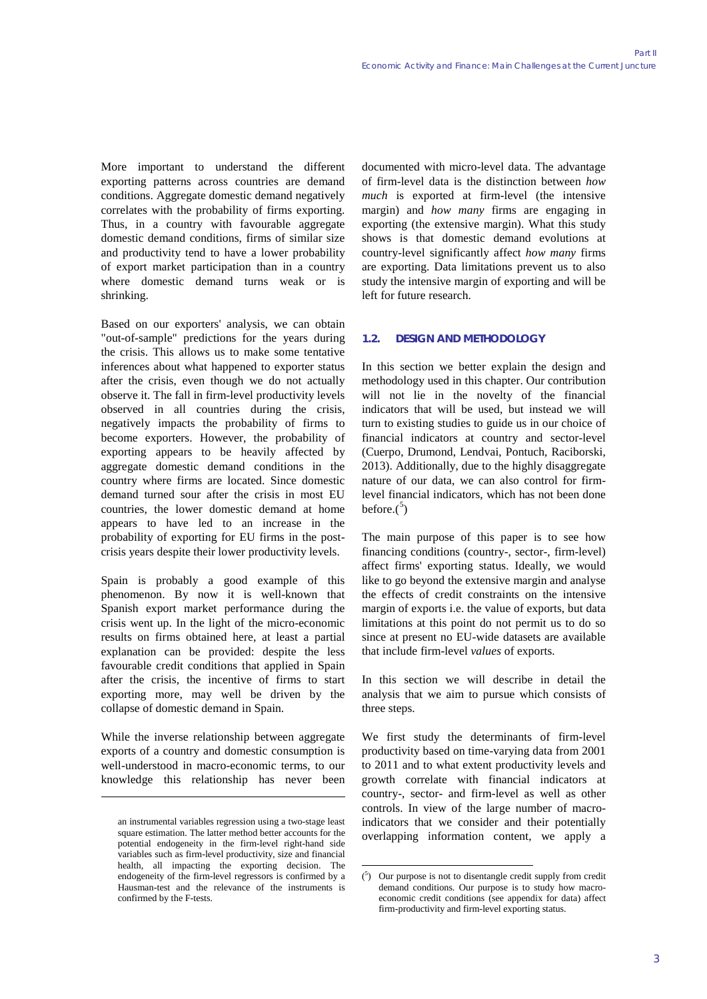More important to understand the different exporting patterns across countries are demand conditions. Aggregate domestic demand negatively correlates with the probability of firms exporting. Thus, in a country with favourable aggregate domestic demand conditions, firms of similar size and productivity tend to have a lower probability of export market participation than in a country where domestic demand turns weak or is shrinking.

Based on our exporters' analysis, we can obtain "out-of-sample" predictions for the years during the crisis. This allows us to make some tentative inferences about what happened to exporter status after the crisis, even though we do not actually observe it. The fall in firm-level productivity levels observed in all countries during the crisis, negatively impacts the probability of firms to become exporters. However, the probability of exporting appears to be heavily affected by aggregate domestic demand conditions in the country where firms are located. Since domestic demand turned sour after the crisis in most EU countries, the lower domestic demand at home appears to have led to an increase in the probability of exporting for EU firms in the postcrisis years despite their lower productivity levels.

Spain is probably a good example of this phenomenon. By now it is well-known that Spanish export market performance during the crisis went up. In the light of the micro-economic results on firms obtained here, at least a partial explanation can be provided: despite the less favourable credit conditions that applied in Spain after the crisis, the incentive of firms to start exporting more, may well be driven by the collapse of domestic demand in Spain.

While the inverse relationship between aggregate exports of a country and domestic consumption is well-understood in macro-economic terms, to our knowledge this relationship has never been

-

documented with micro-level data. The advantage of firm-level data is the distinction between *how much* is exported at firm-level (the intensive margin) and *how many* firms are engaging in exporting (the extensive margin). What this study shows is that domestic demand evolutions at country-level significantly affect *how many* firms are exporting. Data limitations prevent us to also study the intensive margin of exporting and will be left for future research.

## **1.2. DESIGN AND METHODOLOGY**

In this section we better explain the design and methodology used in this chapter. Our contribution will not lie in the novelty of the financial indicators that will be used, but instead we will turn to existing studies to guide us in our choice of financial indicators at country and sector-level (Cuerpo, Drumond, Lendvai, Pontuch, Raciborski, 2013). Additionally, due to the highly disaggregate nature of our data, we can also control for firmlevel financial indicators, which has not been done before. $(5)$  $(5)$  $(5)$ 

The main purpose of this paper is to see how financing conditions (country-, sector-, firm-level) affect firms' exporting status. Ideally, we would like to go beyond the extensive margin and analyse the effects of credit constraints on the intensive margin of exports i.e. the value of exports, but data limitations at this point do not permit us to do so since at present no EU-wide datasets are available that include firm-level *values* of exports.

In this section we will describe in detail the analysis that we aim to pursue which consists of three steps.

We first study the determinants of firm-level productivity based on time-varying data from 2001 to 2011 and to what extent productivity levels and growth correlate with financial indicators at country-, sector- and firm-level as well as other controls. In view of the large number of macroindicators that we consider and their potentially overlapping information content, we apply a

<span id="page-2-0"></span>an instrumental variables regression using a two-stage least square estimation. The latter method better accounts for the potential endogeneity in the firm-level right-hand side variables such as firm-level productivity, size and financial health, all impacting the exporting decision. The endogeneity of the firm-level regressors is confirmed by a Hausman-test and the relevance of the instruments is confirmed by the F-tests.

<sup>-&</sup>lt;br>( <sup>5</sup>) Our purpose is not to disentangle credit supply from credit demand conditions. Our purpose is to study how macroeconomic credit conditions (see appendix for data) affect firm-productivity and firm-level exporting status.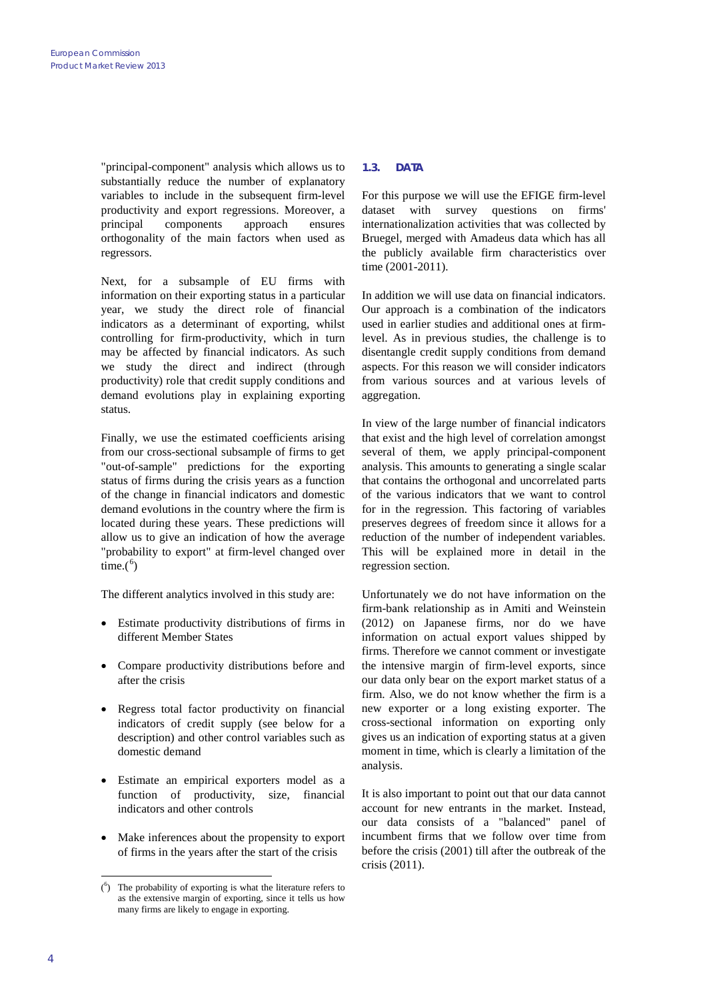"principal-component" analysis which allows us to substantially reduce the number of explanatory variables to include in the subsequent firm-level productivity and export regressions. Moreover, a principal components approach ensures orthogonality of the main factors when used as regressors.

Next, for a subsample of EU firms with information on their exporting status in a particular year, we study the direct role of financial indicators as a determinant of exporting, whilst controlling for firm-productivity, which in turn may be affected by financial indicators. As such we study the direct and indirect (through productivity) role that credit supply conditions and demand evolutions play in explaining exporting status.

Finally, we use the estimated coefficients arising from our cross-sectional subsample of firms to get "out-of-sample" predictions for the exporting status of firms during the crisis years as a function of the change in financial indicators and domestic demand evolutions in the country where the firm is located during these years. These predictions will allow us to give an indication of how the average "probability to export" at firm-level changed over  $time.(6)$  $time.(6)$  $time.(6)$ 

The different analytics involved in this study are:

- Estimate productivity distributions of firms in different Member States
- Compare productivity distributions before and after the crisis
- Regress total factor productivity on financial indicators of credit supply (see below for a description) and other control variables such as domestic demand
- Estimate an empirical exporters model as a function of productivity, size, financial indicators and other controls
- Make inferences about the propensity to export of firms in the years after the start of the crisis

## **1.3. DATA**

For this purpose we will use the EFIGE firm-level dataset with survey questions on firms' internationalization activities that was collected by Bruegel, merged with Amadeus data which has all the publicly available firm characteristics over time (2001-2011).

In addition we will use data on financial indicators. Our approach is a combination of the indicators used in earlier studies and additional ones at firmlevel. As in previous studies, the challenge is to disentangle credit supply conditions from demand aspects. For this reason we will consider indicators from various sources and at various levels of aggregation.

In view of the large number of financial indicators that exist and the high level of correlation amongst several of them, we apply principal-component analysis. This amounts to generating a single scalar that contains the orthogonal and uncorrelated parts of the various indicators that we want to control for in the regression. This factoring of variables preserves degrees of freedom since it allows for a reduction of the number of independent variables. This will be explained more in detail in the regression section.

Unfortunately we do not have information on the firm-bank relationship as in Amiti and Weinstein (2012) on Japanese firms, nor do we have information on actual export values shipped by firms. Therefore we cannot comment or investigate the intensive margin of firm-level exports, since our data only bear on the export market status of a firm. Also, we do not know whether the firm is a new exporter or a long existing exporter. The cross-sectional information on exporting only gives us an indication of exporting status at a given moment in time, which is clearly a limitation of the analysis.

It is also important to point out that our data cannot account for new entrants in the market. Instead, our data consists of a "balanced" panel of incumbent firms that we follow over time from before the crisis (2001) till after the outbreak of the crisis (2011).

<span id="page-3-0"></span><sup>.&</sup>lt;br>( 6 ) The probability of exporting is what the literature refers to as the extensive margin of exporting, since it tells us how many firms are likely to engage in exporting.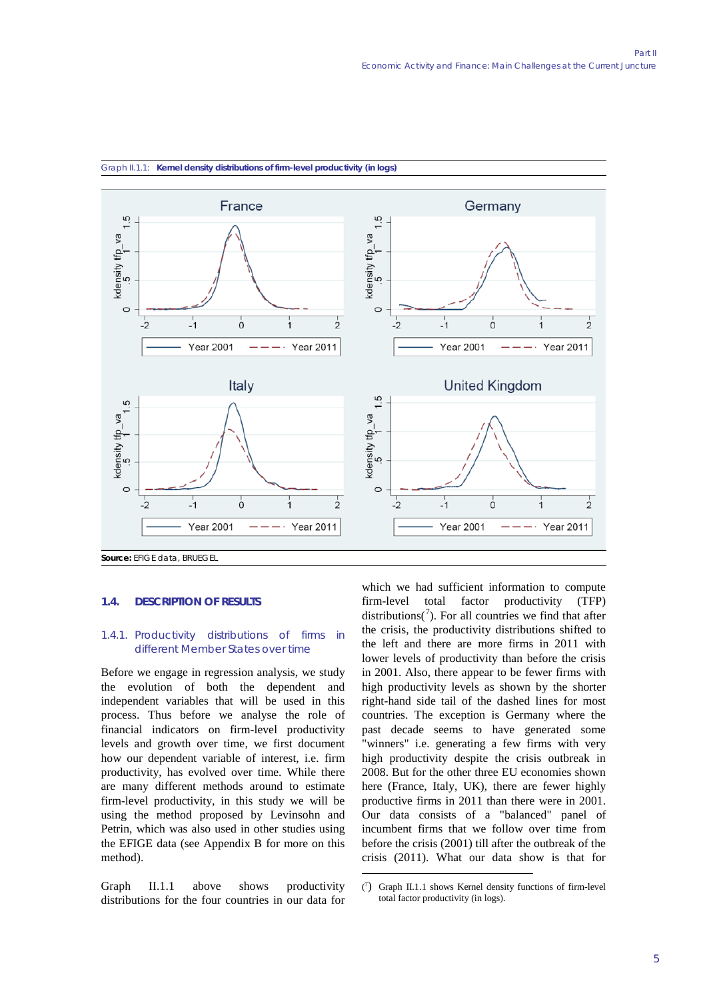

1

#### Graph II.1.1: **Kernel density distributions of firm-level productivity (in logs)**

**1.4. DESCRIPTION OF RESULTS**

#### 1.4.1. Productivity distributions of firms in different Member States over time

Before we engage in regression analysis, we study the evolution of both the dependent and independent variables that will be used in this process. Thus before we analyse the role of financial indicators on firm-level productivity levels and growth over time, we first document how our dependent variable of interest, i.e. firm productivity, has evolved over time. While there are many different methods around to estimate firm-level productivity, in this study we will be using the method proposed by Levinsohn and Petrin, which was also used in other studies using the EFIGE data (see Appendix B for more on this method).

<span id="page-4-0"></span>Graph II.1.1 above shows productivity distributions for the four countries in our data for which we had sufficient information to compute firm-level total factor productivity (TFP) distributions( $\binom{7}{1}$  $\binom{7}{1}$  $\binom{7}{1}$ . For all countries we find that after the crisis, the productivity distributions shifted to the left and there are more firms in 2011 with lower levels of productivity than before the crisis in 2001. Also, there appear to be fewer firms with high productivity levels as shown by the shorter right-hand side tail of the dashed lines for most countries. The exception is Germany where the past decade seems to have generated some "winners" i.e. generating a few firms with very high productivity despite the crisis outbreak in 2008. But for the other three EU economies shown here (France, Italy, UK), there are fewer highly productive firms in 2011 than there were in 2001. Our data consists of a "balanced" panel of incumbent firms that we follow over time from before the crisis (2001) till after the outbreak of the crisis (2011). What our data show is that for

<sup>(</sup> 7 ) Graph II.1.1 shows Kernel density functions of firm-level total factor productivity (in logs).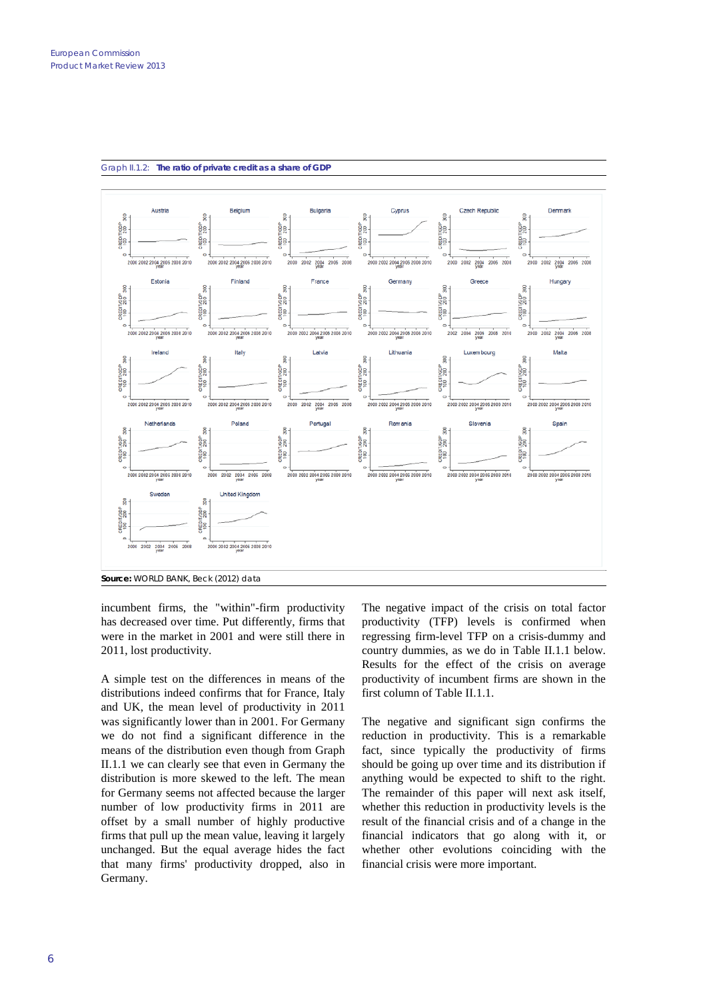



incumbent firms, the "within"-firm productivity has decreased over time. Put differently, firms that were in the market in 2001 and were still there in 2011, lost productivity.

A simple test on the differences in means of the distributions indeed confirms that for France, Italy and UK, the mean level of productivity in 2011 was significantly lower than in 2001. For Germany we do not find a significant difference in the means of the distribution even though from Graph II.1.1 we can clearly see that even in Germany the distribution is more skewed to the left. The mean for Germany seems not affected because the larger number of low productivity firms in 2011 are offset by a small number of highly productive firms that pull up the mean value, leaving it largely unchanged. But the equal average hides the fact that many firms' productivity dropped, also in Germany.

The negative impact of the crisis on total factor productivity (TFP) levels is confirmed when regressing firm-level TFP on a crisis-dummy and country dummies, as we do in Table II.1.1 below. Results for the effect of the crisis on average productivity of incumbent firms are shown in the first column of Table II.1.1.

The negative and significant sign confirms the reduction in productivity. This is a remarkable fact, since typically the productivity of firms should be going up over time and its distribution if anything would be expected to shift to the right. The remainder of this paper will next ask itself, whether this reduction in productivity levels is the result of the financial crisis and of a change in the financial indicators that go along with it, or whether other evolutions coinciding with the financial crisis were more important.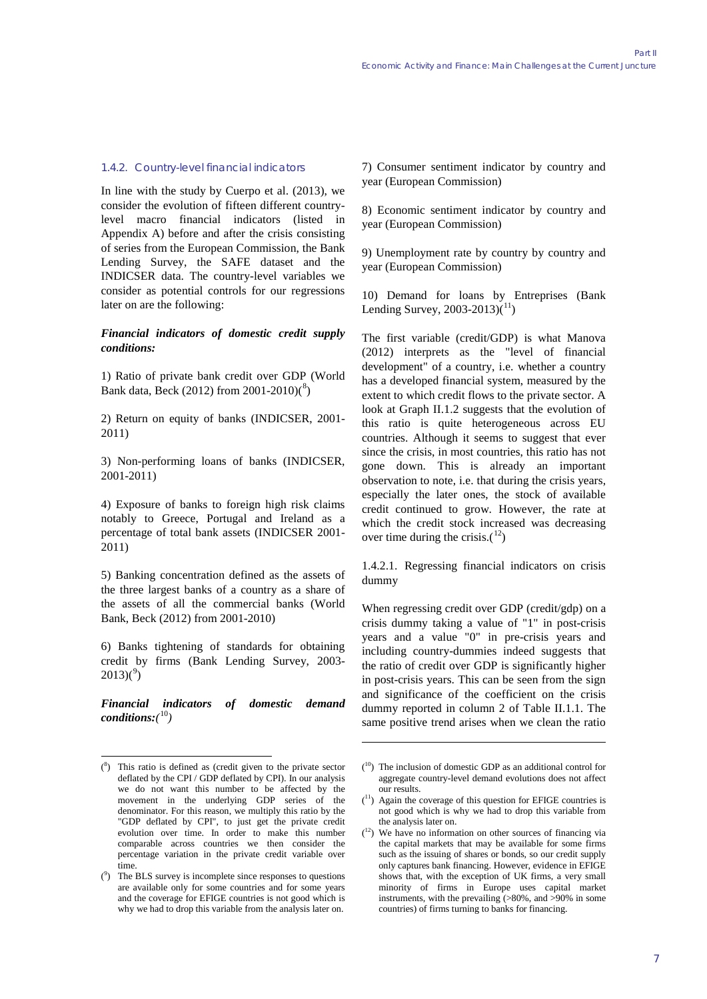#### 1.4.2. Country-level financial indicators

In line with the study by Cuerpo et al. (2013), we consider the evolution of fifteen different countrylevel macro financial indicators (listed in Appendix A) before and after the crisis consisting of series from the European Commission, the Bank Lending Survey, the SAFE dataset and the INDICSER data. The country-level variables we consider as potential controls for our regressions later on are the following:

#### *Financial indicators of domestic credit supply conditions:*

1) Ratio of private bank credit over GDP (World Bank data, Beck (2012) from 2001-2010)(<sup>[8](#page-6-0)</sup>)

2) Return on equity of banks (INDICSER, 2001- 2011)

3) Non-performing loans of banks (INDICSER, 2001-2011)

4) Exposure of banks to foreign high risk claims notably to Greece, Portugal and Ireland as a percentage of total bank assets (INDICSER 2001- 2011)

5) Banking concentration defined as the assets of the three largest banks of a country as a share of the assets of all the commercial banks (World Bank, Beck (2012) from 2001-2010)

6) Banks tightening of standards for obtaining credit by firms (Bank Lending Survey, 2003-  $2013(°)$ 

*Financial indicators of domestic demand conditions:(* [10](#page-6-0)*)*

7) Consumer sentiment indicator by country and year (European Commission)

8) Economic sentiment indicator by country and year (European Commission)

9) Unemployment rate by country by country and year (European Commission)

10) Demand for loans by Entreprises (Bank Lending Survey,  $2003 - 2013(1)$ 

The first variable (credit/GDP) is what Manova (2012) interprets as the "level of financial development" of a country, i.e. whether a country has a developed financial system, measured by the extent to which credit flows to the private sector. A look at Graph II.1.2 suggests that the evolution of this ratio is quite heterogeneous across EU countries. Although it seems to suggest that ever since the crisis, in most countries, this ratio has not gone down. This is already an important observation to note, i.e. that during the crisis years, especially the later ones, the stock of available credit continued to grow. However, the rate at which the credit stock increased was decreasing over time during the crisis. $(1^2)$ 

1.4.2.1. Regressing financial indicators on crisis dummy

When regressing credit over GDP (credit/gdp) on a crisis dummy taking a value of "1" in post-crisis years and a value "0" in pre-crisis years and including country-dummies indeed suggests that the ratio of credit over GDP is significantly higher in post-crisis years. This can be seen from the sign and significance of the coefficient on the crisis dummy reported in column 2 of Table II.1.1. The same positive trend arises when we clean the ratio

1

<span id="page-6-2"></span><span id="page-6-0"></span><sup>-&</sup>lt;br>( 8 ) This ratio is defined as (credit given to the private sector deflated by the CPI / GDP deflated by CPI). In our analysis we do not want this number to be affected by the movement in the underlying GDP series of the denominator. For this reason, we multiply this ratio by the "GDP deflated by CPI", to just get the private credit evolution over time. In order to make this number comparable across countries we then consider the percentage variation in the private credit variable over time.

<span id="page-6-3"></span><span id="page-6-1"></span> $(2)$  The BLS survey is incomplete since responses to questions are available only for some countries and for some years and the coverage for EFIGE countries is not good which is why we had to drop this variable from the analysis later on.

<sup>(</sup> 10) The inclusion of domestic GDP as an additional control for aggregate country-level demand evolutions does not affect our results.

<sup>(</sup> 11) Again the coverage of this question for EFIGE countries is not good which is why we had to drop this variable from the analysis later on.

<sup>(</sup> 12) We have no information on other sources of financing via the capital markets that may be available for some firms such as the issuing of shares or bonds, so our credit supply only captures bank financing. However, evidence in EFIGE shows that, with the exception of UK firms, a very small minority of firms in Europe uses capital market instruments, with the prevailing (>80%, and >90% in some countries) of firms turning to banks for financing.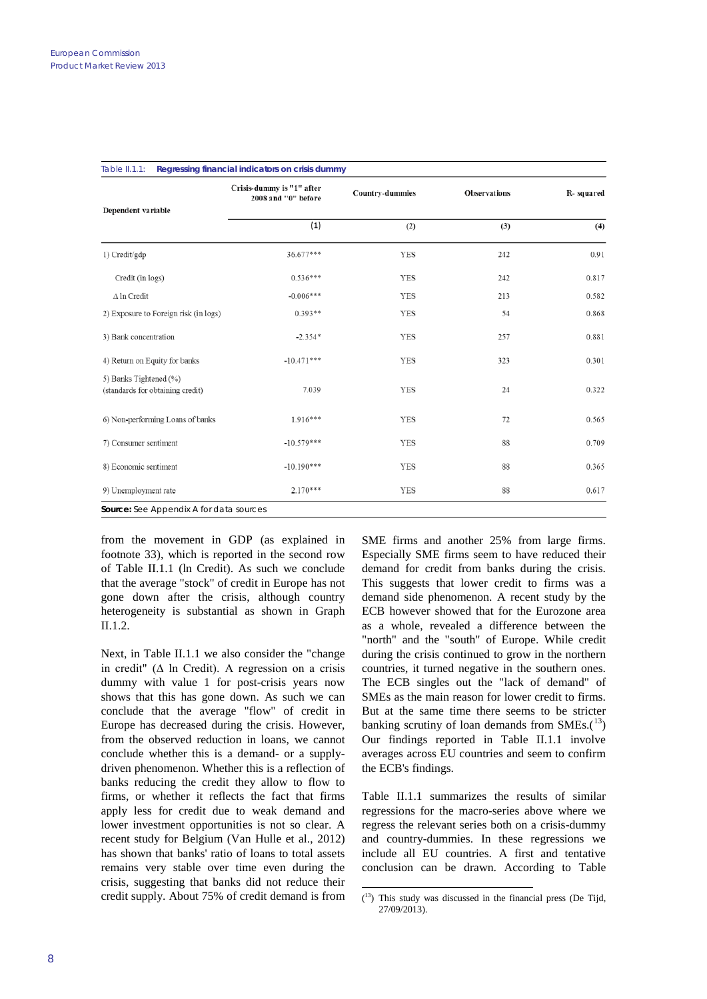| Dependent variable                                         | Crisis-dummy is "1" after<br>2008 and "0" before | Country-dummies | <b>Observations</b> | R-squared<br>(4) |  |
|------------------------------------------------------------|--------------------------------------------------|-----------------|---------------------|------------------|--|
|                                                            | (1)                                              | (2)             | (3)                 |                  |  |
| 1) Credit/gdp                                              | 36.677***                                        | <b>YES</b>      | 242                 | 0.91             |  |
| Credit (in logs)                                           | $0.536***$                                       | YES             | 242                 | 0.817            |  |
| $\Delta$ ln Credit                                         | $-0.006***$                                      | <b>YES</b>      | 213                 | 0.582            |  |
| 2) Exposure to Foreign risk (in logs)                      | $0.393**$                                        | YES             | 54                  | 0.868            |  |
| 3) Bank concentration                                      | $-2.354*$                                        | YES             | 257                 | 0.881            |  |
| 4) Return on Equity for banks                              | $-10.471***$                                     | YES             | 323                 | 0.301            |  |
| 5) Banks Tightened (%)<br>(standards for obtaining credit) | 7.039                                            | YES             | 24                  | 0.322            |  |
| 6) Non-performing Loans of banks                           | $1.916***$                                       | YES             | 72                  | 0.565            |  |
| 7) Consumer sentiment                                      | $-10.579***$                                     | <b>YES</b>      | 88                  | 0.709            |  |
| 8) Economic sentiment                                      | $-10.190***$                                     | YES             | 88                  | 0.365            |  |
| 9) Unemployment rate                                       | $2.170***$                                       | YES             | 88                  | 0.617            |  |

|                 | Regressing financial indicators on crisis dummy |  |
|-----------------|-------------------------------------------------|--|
| Table $II.11$ : |                                                 |  |
|                 |                                                 |  |

from the movement in GDP (as explained in footnote 33), which is reported in the second row of Table II.1.1 (ln Credit). As such we conclude that the average "stock" of credit in Europe has not gone down after the crisis, although country heterogeneity is substantial as shown in Graph II.1.2.

<span id="page-7-0"></span>Next, in Table II.1.1 we also consider the "change in credit" (∆ ln Credit). A regression on a crisis dummy with value 1 for post-crisis years now shows that this has gone down. As such we can conclude that the average "flow" of credit in Europe has decreased during the crisis. However, from the observed reduction in loans, we cannot conclude whether this is a demand- or a supplydriven phenomenon. Whether this is a reflection of banks reducing the credit they allow to flow to firms, or whether it reflects the fact that firms apply less for credit due to weak demand and lower investment opportunities is not so clear. A recent study for Belgium (Van Hulle et al., 2012) has shown that banks' ratio of loans to total assets remains very stable over time even during the crisis, suggesting that banks did not reduce their credit supply. About 75% of credit demand is from SME firms and another 25% from large firms. Especially SME firms seem to have reduced their demand for credit from banks during the crisis. This suggests that lower credit to firms was a demand side phenomenon. A recent study by the ECB however showed that for the Eurozone area as a whole, revealed a difference between the "north" and the "south" of Europe. While credit during the crisis continued to grow in the northern countries, it turned negative in the southern ones. The ECB singles out the "lack of demand" of SMEs as the main reason for lower credit to firms. But at the same time there seems to be stricter banking scrutiny of loan demands from  $SMEs.({}^{13})$  $SMEs.({}^{13})$  $SMEs.({}^{13})$ Our findings reported in Table II.1.1 involve averages across EU countries and seem to confirm the ECB's findings.

Table II.1.1 summarizes the results of similar regressions for the macro-series above where we regress the relevant series both on a crisis-dummy and country-dummies. In these regressions we include all EU countries. A first and tentative conclusion can be drawn. According to Table

<sup>-&</sup>lt;br>(  $(13)$  This study was discussed in the financial press (De Tijd, 27/09/2013).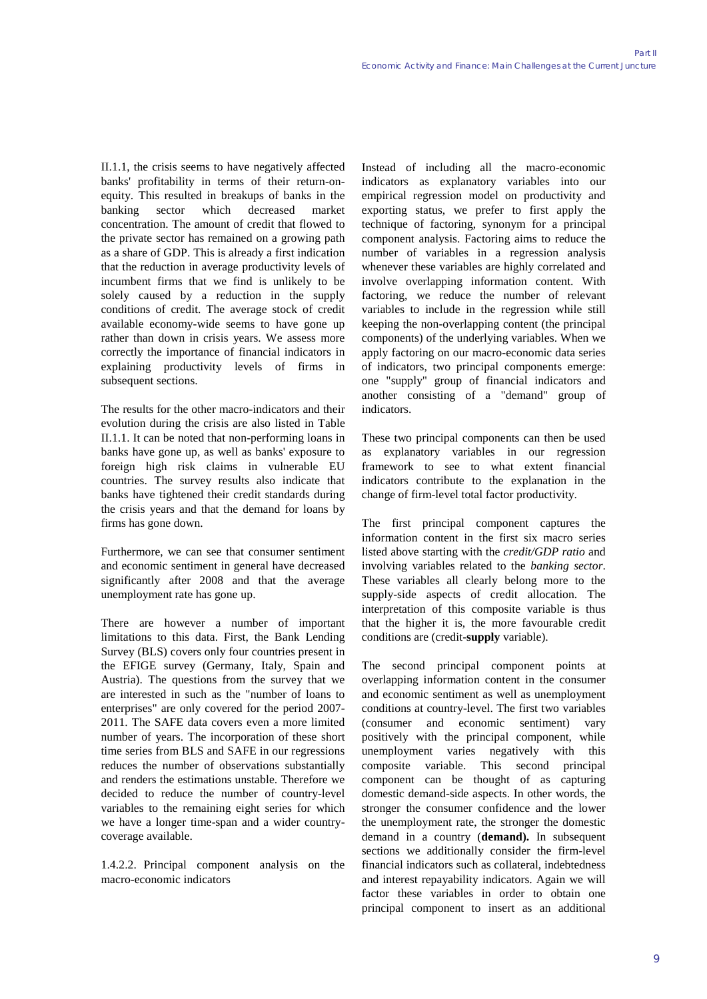II.1.1, the crisis seems to have negatively affected banks' profitability in terms of their return-onequity. This resulted in breakups of banks in the banking sector which decreased market concentration. The amount of credit that flowed to the private sector has remained on a growing path as a share of GDP. This is already a first indication that the reduction in average productivity levels of incumbent firms that we find is unlikely to be solely caused by a reduction in the supply conditions of credit. The average stock of credit available economy-wide seems to have gone up rather than down in crisis years. We assess more correctly the importance of financial indicators in explaining productivity levels of firms in subsequent sections.

The results for the other macro-indicators and their evolution during the crisis are also listed in Table II.1.1. It can be noted that non-performing loans in banks have gone up, as well as banks' exposure to foreign high risk claims in vulnerable EU countries. The survey results also indicate that banks have tightened their credit standards during the crisis years and that the demand for loans by firms has gone down.

Furthermore, we can see that consumer sentiment and economic sentiment in general have decreased significantly after 2008 and that the average unemployment rate has gone up.

There are however a number of important limitations to this data. First, the Bank Lending Survey (BLS) covers only four countries present in the EFIGE survey (Germany, Italy, Spain and Austria). The questions from the survey that we are interested in such as the "number of loans to enterprises" are only covered for the period 2007- 2011. The SAFE data covers even a more limited number of years. The incorporation of these short time series from BLS and SAFE in our regressions reduces the number of observations substantially and renders the estimations unstable. Therefore we decided to reduce the number of country-level variables to the remaining eight series for which we have a longer time-span and a wider countrycoverage available.

1.4.2.2. Principal component analysis on the macro-economic indicators

Instead of including all the macro-economic indicators as explanatory variables into our empirical regression model on productivity and exporting status, we prefer to first apply the technique of factoring, synonym for a principal component analysis. Factoring aims to reduce the number of variables in a regression analysis whenever these variables are highly correlated and involve overlapping information content. With factoring, we reduce the number of relevant variables to include in the regression while still keeping the non-overlapping content (the principal components) of the underlying variables. When we apply factoring on our macro-economic data series of indicators, two principal components emerge: one "supply" group of financial indicators and another consisting of a "demand" group of indicators.

These two principal components can then be used as explanatory variables in our regression framework to see to what extent financial indicators contribute to the explanation in the change of firm-level total factor productivity.

The first principal component captures the information content in the first six macro series listed above starting with the *credit/GDP ratio* and involving variables related to the *banking sector*. These variables all clearly belong more to the supply-side aspects of credit allocation. The interpretation of this composite variable is thus that the higher it is, the more favourable credit conditions are (credit-**supply** variable).

The second principal component points at overlapping information content in the consumer and economic sentiment as well as unemployment conditions at country-level. The first two variables (consumer and economic sentiment) vary positively with the principal component, while unemployment varies negatively with this composite variable. This second principal component can be thought of as capturing domestic demand-side aspects. In other words, the stronger the consumer confidence and the lower the unemployment rate, the stronger the domestic demand in a country (**demand).** In subsequent sections we additionally consider the firm-level financial indicators such as collateral, indebtedness and interest repayability indicators. Again we will factor these variables in order to obtain one principal component to insert as an additional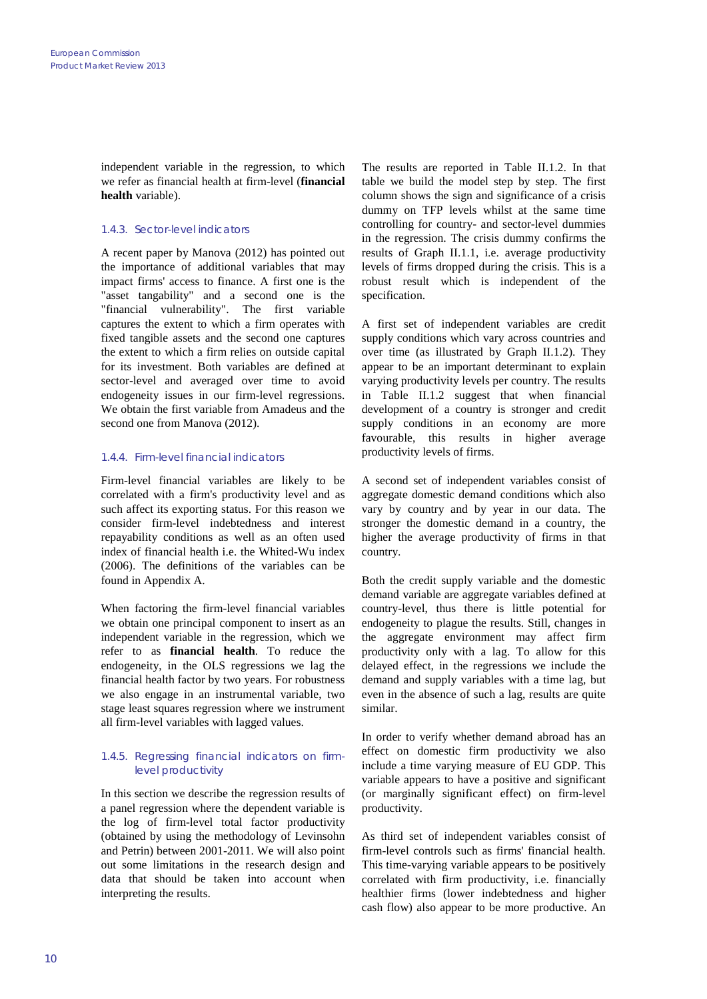independent variable in the regression, to which we refer as financial health at firm-level (**financial health** variable).

## 1.4.3. Sector-level indicators

A recent paper by Manova (2012) has pointed out the importance of additional variables that may impact firms' access to finance. A first one is the "asset tangability" and a second one is the "financial vulnerability". The first variable captures the extent to which a firm operates with fixed tangible assets and the second one captures the extent to which a firm relies on outside capital for its investment. Both variables are defined at sector-level and averaged over time to avoid endogeneity issues in our firm-level regressions. We obtain the first variable from Amadeus and the second one from Manova (2012).

## 1.4.4. Firm-level financial indicators

Firm-level financial variables are likely to be correlated with a firm's productivity level and as such affect its exporting status. For this reason we consider firm-level indebtedness and interest repayability conditions as well as an often used index of financial health i.e. the Whited-Wu index (2006). The definitions of the variables can be found in Appendix A.

When factoring the firm-level financial variables we obtain one principal component to insert as an independent variable in the regression, which we refer to as **financial health**. To reduce the endogeneity, in the OLS regressions we lag the financial health factor by two years. For robustness we also engage in an instrumental variable, two stage least squares regression where we instrument all firm-level variables with lagged values.

### 1.4.5. Regressing financial indicators on firmlevel productivity

In this section we describe the regression results of a panel regression where the dependent variable is the log of firm-level total factor productivity (obtained by using the methodology of Levinsohn and Petrin) between 2001-2011. We will also point out some limitations in the research design and data that should be taken into account when interpreting the results.

The results are reported in Table II.1.2. In that table we build the model step by step. The first column shows the sign and significance of a crisis dummy on TFP levels whilst at the same time controlling for country- and sector-level dummies in the regression. The crisis dummy confirms the results of Graph II.1.1, i.e. average productivity levels of firms dropped during the crisis. This is a robust result which is independent of the specification.

A first set of independent variables are credit supply conditions which vary across countries and over time (as illustrated by Graph II.1.2). They appear to be an important determinant to explain varying productivity levels per country. The results in Table II.1.2 suggest that when financial development of a country is stronger and credit supply conditions in an economy are more favourable, this results in higher average productivity levels of firms.

A second set of independent variables consist of aggregate domestic demand conditions which also vary by country and by year in our data. The stronger the domestic demand in a country, the higher the average productivity of firms in that country.

Both the credit supply variable and the domestic demand variable are aggregate variables defined at country-level, thus there is little potential for endogeneity to plague the results. Still, changes in the aggregate environment may affect firm productivity only with a lag. To allow for this delayed effect, in the regressions we include the demand and supply variables with a time lag, but even in the absence of such a lag, results are quite similar.

In order to verify whether demand abroad has an effect on domestic firm productivity we also include a time varying measure of EU GDP. This variable appears to have a positive and significant (or marginally significant effect) on firm-level productivity.

As third set of independent variables consist of firm-level controls such as firms' financial health. This time-varying variable appears to be positively correlated with firm productivity, i.e. financially healthier firms (lower indebtedness and higher cash flow) also appear to be more productive. An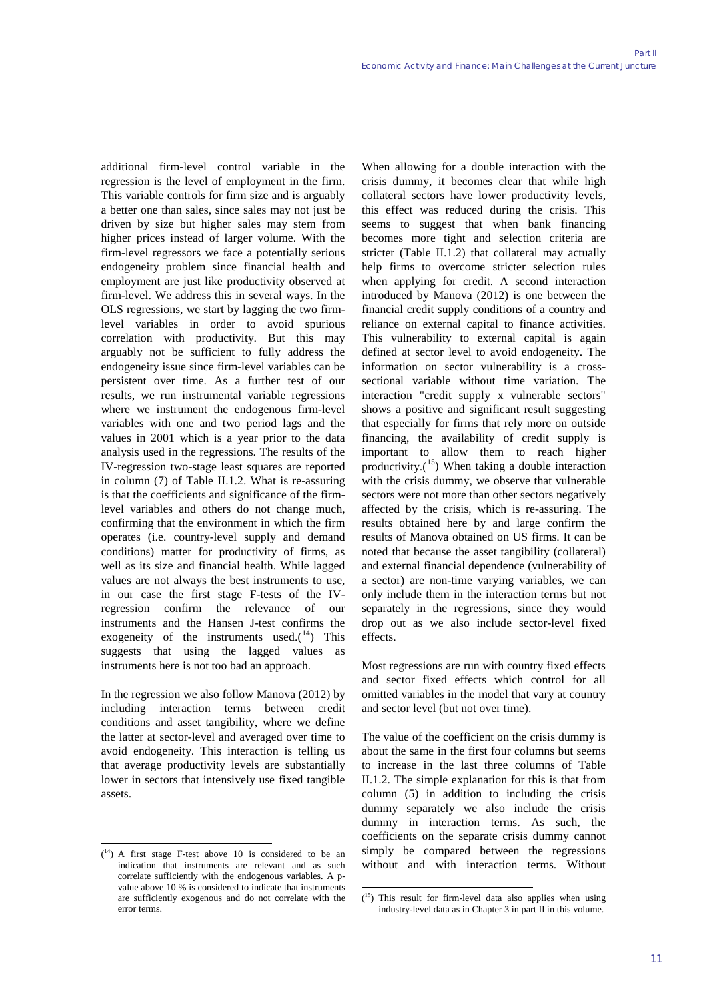additional firm-level control variable in the regression is the level of employment in the firm. This variable controls for firm size and is arguably a better one than sales, since sales may not just be driven by size but higher sales may stem from higher prices instead of larger volume. With the firm-level regressors we face a potentially serious endogeneity problem since financial health and employment are just like productivity observed at firm-level. We address this in several ways. In the OLS regressions, we start by lagging the two firmlevel variables in order to avoid spurious correlation with productivity. But this may arguably not be sufficient to fully address the endogeneity issue since firm-level variables can be persistent over time. As a further test of our results, we run instrumental variable regressions where we instrument the endogenous firm-level variables with one and two period lags and the values in 2001 which is a year prior to the data analysis used in the regressions. The results of the IV-regression two-stage least squares are reported in column (7) of Table II.1.2. What is re-assuring is that the coefficients and significance of the firmlevel variables and others do not change much, confirming that the environment in which the firm operates (i.e. country-level supply and demand conditions) matter for productivity of firms, as well as its size and financial health. While lagged values are not always the best instruments to use, in our case the first stage F-tests of the IVregression confirm the relevance of instruments and the Hansen J-test confirms the exogeneity of the instruments used. $(14)$  $(14)$  $(14)$  This suggests that using the lagged values as instruments here is not too bad an approach.

In the regression we also follow Manova (2012) by including interaction terms between credit conditions and asset tangibility, where we define the latter at sector-level and averaged over time to avoid endogeneity. This interaction is telling us that average productivity levels are substantially lower in sectors that intensively use fixed tangible assets.

When allowing for a double interaction with the crisis dummy, it becomes clear that while high collateral sectors have lower productivity levels, this effect was reduced during the crisis. This seems to suggest that when bank financing becomes more tight and selection criteria are stricter (Table II.1.2) that collateral may actually help firms to overcome stricter selection rules when applying for credit. A second interaction introduced by Manova (2012) is one between the financial credit supply conditions of a country and reliance on external capital to finance activities. This vulnerability to external capital is again defined at sector level to avoid endogeneity. The information on sector vulnerability is a crosssectional variable without time variation. The interaction "credit supply x vulnerable sectors" shows a positive and significant result suggesting that especially for firms that rely more on outside financing, the availability of credit supply is important to allow them to reach higher productivity. $(15)$  $(15)$  $(15)$  When taking a double interaction with the crisis dummy, we observe that vulnerable sectors were not more than other sectors negatively affected by the crisis, which is re-assuring. The results obtained here by and large confirm the results of Manova obtained on US firms. It can be noted that because the asset tangibility (collateral) and external financial dependence (vulnerability of a sector) are non-time varying variables, we can only include them in the interaction terms but not separately in the regressions, since they would drop out as we also include sector-level fixed effects.

Most regressions are run with country fixed effects and sector fixed effects which control for all omitted variables in the model that vary at country and sector level (but not over time).

The value of the coefficient on the crisis dummy is about the same in the first four columns but seems to increase in the last three columns of Table II.1.2. The simple explanation for this is that from column (5) in addition to including the crisis dummy separately we also include the crisis dummy in interaction terms. As such, the coefficients on the separate crisis dummy cannot simply be compared between the regressions without and with interaction terms. Without

<span id="page-10-1"></span><span id="page-10-0"></span><sup>-&</sup>lt;br>(  $(14)$  A first stage F-test above 10 is considered to be an indication that instruments are relevant and as such correlate sufficiently with the endogenous variables. A pvalue above 10 % is considered to indicate that instruments are sufficiently exogenous and do not correlate with the error terms.

<sup>-&</sup>lt;br>(  $(15)$  This result for firm-level data also applies when using industry-level data as in Chapter 3 in part II in this volume.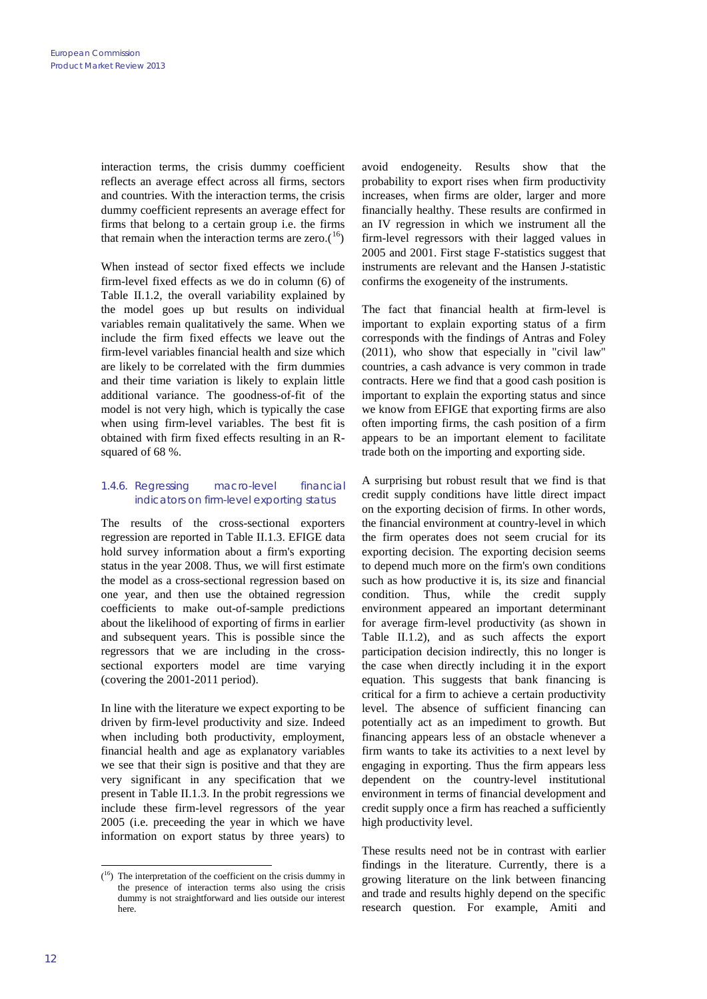interaction terms, the crisis dummy coefficient reflects an average effect across all firms, sectors and countries. With the interaction terms, the crisis dummy coefficient represents an average effect for firms that belong to a certain group i.e. the firms that remain when the interaction terms are zero. $(16)$  $(16)$  $(16)$ 

When instead of sector fixed effects we include firm-level fixed effects as we do in column (6) of Table II.1.2, the overall variability explained by the model goes up but results on individual variables remain qualitatively the same. When we include the firm fixed effects we leave out the firm-level variables financial health and size which are likely to be correlated with the firm dummies and their time variation is likely to explain little additional variance. The goodness-of-fit of the model is not very high, which is typically the case when using firm-level variables. The best fit is obtained with firm fixed effects resulting in an Rsquared of 68 %.

## 1.4.6. Regressing macro-level financial indicators on firm-level exporting status

The results of the cross-sectional exporters regression are reported in Table II.1.3. EFIGE data hold survey information about a firm's exporting status in the year 2008. Thus, we will first estimate the model as a cross-sectional regression based on one year, and then use the obtained regression coefficients to make out-of-sample predictions about the likelihood of exporting of firms in earlier and subsequent years. This is possible since the regressors that we are including in the crosssectional exporters model are time varying (covering the 2001-2011 period).

In line with the literature we expect exporting to be driven by firm-level productivity and size. Indeed when including both productivity, employment, financial health and age as explanatory variables we see that their sign is positive and that they are very significant in any specification that we present in Table II.1.3. In the probit regressions we include these firm-level regressors of the year 2005 (i.e. preceeding the year in which we have information on export status by three years) to avoid endogeneity. Results show that the probability to export rises when firm productivity increases, when firms are older, larger and more financially healthy. These results are confirmed in an IV regression in which we instrument all the firm-level regressors with their lagged values in 2005 and 2001. First stage F-statistics suggest that instruments are relevant and the Hansen J-statistic confirms the exogeneity of the instruments.

The fact that financial health at firm-level is important to explain exporting status of a firm corresponds with the findings of Antras and Foley (2011), who show that especially in "civil law" countries, a cash advance is very common in trade contracts. Here we find that a good cash position is important to explain the exporting status and since we know from EFIGE that exporting firms are also often importing firms, the cash position of a firm appears to be an important element to facilitate trade both on the importing and exporting side.

A surprising but robust result that we find is that credit supply conditions have little direct impact on the exporting decision of firms. In other words, the financial environment at country-level in which the firm operates does not seem crucial for its exporting decision. The exporting decision seems to depend much more on the firm's own conditions such as how productive it is, its size and financial condition. Thus, while the credit supply environment appeared an important determinant for average firm-level productivity (as shown in Table II.1.2), and as such affects the export participation decision indirectly, this no longer is the case when directly including it in the export equation. This suggests that bank financing is critical for a firm to achieve a certain productivity level. The absence of sufficient financing can potentially act as an impediment to growth. But financing appears less of an obstacle whenever a firm wants to take its activities to a next level by engaging in exporting. Thus the firm appears less dependent on the country-level institutional environment in terms of financial development and credit supply once a firm has reached a sufficiently high productivity level.

These results need not be in contrast with earlier findings in the literature. Currently, there is a growing literature on the link between financing and trade and results highly depend on the specific research question. For example, Amiti and

<span id="page-11-0"></span><sup>-&</sup>lt;br>(  $(16)$  The interpretation of the coefficient on the crisis dummy in the presence of interaction terms also using the crisis dummy is not straightforward and lies outside our interest here.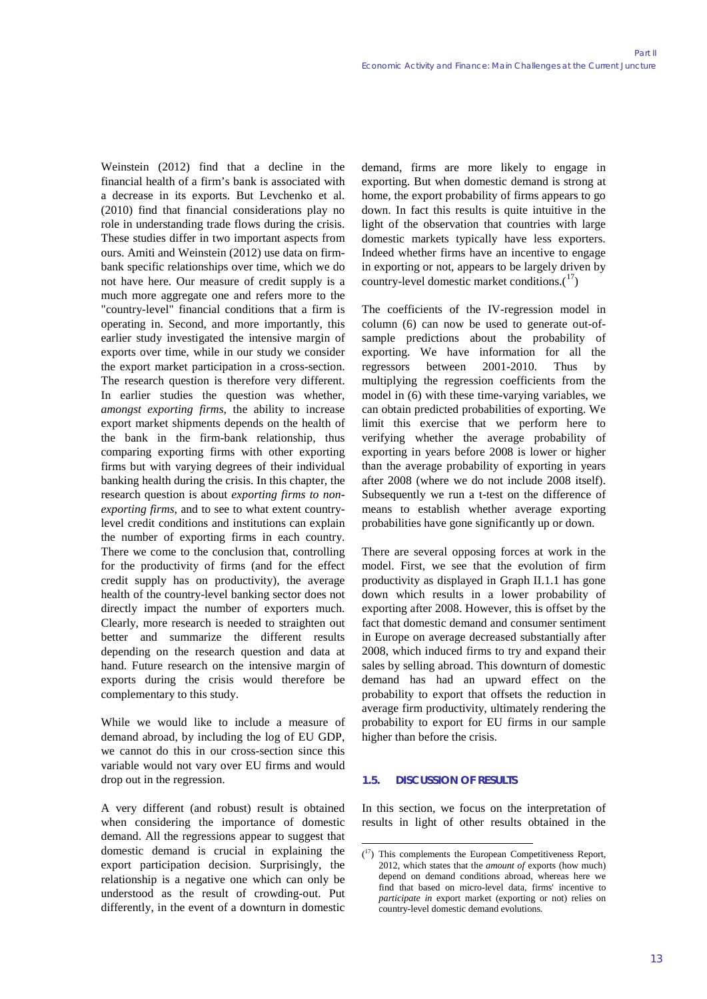Weinstein (2012) find that a decline in the financial health of a firm's bank is associated with a decrease in its exports. But Levchenko et al. (2010) find that financial considerations play no role in understanding trade flows during the crisis. These studies differ in two important aspects from ours. Amiti and Weinstein (2012) use data on firmbank specific relationships over time, which we do not have here. Our measure of credit supply is a much more aggregate one and refers more to the "country-level" financial conditions that a firm is operating in. Second, and more importantly, this earlier study investigated the intensive margin of exports over time, while in our study we consider the export market participation in a cross-section. The research question is therefore very different. In earlier studies the question was whether, *amongst exporting firms*, the ability to increase export market shipments depends on the health of the bank in the firm-bank relationship, thus comparing exporting firms with other exporting firms but with varying degrees of their individual banking health during the crisis. In this chapter, the research question is about *exporting firms to nonexporting firms*, and to see to what extent countrylevel credit conditions and institutions can explain the number of exporting firms in each country. There we come to the conclusion that, controlling for the productivity of firms (and for the effect credit supply has on productivity), the average health of the country-level banking sector does not directly impact the number of exporters much. Clearly, more research is needed to straighten out better and summarize the different results depending on the research question and data at hand. Future research on the intensive margin of exports during the crisis would therefore be complementary to this study.

While we would like to include a measure of demand abroad, by including the log of EU GDP, we cannot do this in our cross-section since this variable would not vary over EU firms and would drop out in the regression.

<span id="page-12-0"></span>A very different (and robust) result is obtained when considering the importance of domestic demand. All the regressions appear to suggest that domestic demand is crucial in explaining the export participation decision. Surprisingly, the relationship is a negative one which can only be understood as the result of crowding-out. Put differently, in the event of a downturn in domestic demand, firms are more likely to engage in exporting. But when domestic demand is strong at home, the export probability of firms appears to go down. In fact this results is quite intuitive in the light of the observation that countries with large domestic markets typically have less exporters. Indeed whether firms have an incentive to engage in exporting or not, appears to be largely driven by country-level domestic market conditions. $(^{17})$ 

The coefficients of the IV-regression model in column (6) can now be used to generate out-ofsample predictions about the probability of exporting. We have information for all the regressors between 2001-2010. Thus by multiplying the regression coefficients from the model in (6) with these time-varying variables, we can obtain predicted probabilities of exporting. We limit this exercise that we perform here to verifying whether the average probability of exporting in years before 2008 is lower or higher than the average probability of exporting in years after 2008 (where we do not include 2008 itself). Subsequently we run a t-test on the difference of means to establish whether average exporting probabilities have gone significantly up or down.

There are several opposing forces at work in the model. First, we see that the evolution of firm productivity as displayed in Graph II.1.1 has gone down which results in a lower probability of exporting after 2008. However, this is offset by the fact that domestic demand and consumer sentiment in Europe on average decreased substantially after 2008, which induced firms to try and expand their sales by selling abroad. This downturn of domestic demand has had an upward effect on the probability to export that offsets the reduction in average firm productivity, ultimately rendering the probability to export for EU firms in our sample higher than before the crisis.

## **1.5. DISCUSSION OF RESULTS**

In this section, we focus on the interpretation of results in light of other results obtained in the

<sup>-&</sup>lt;br>( 17) This complements the European Competitiveness Report, 2012, which states that the *amount of* exports (how much) depend on demand conditions abroad, whereas here we find that based on micro-level data, firms' incentive to *participate in* export market (exporting or not) relies on country-level domestic demand evolutions.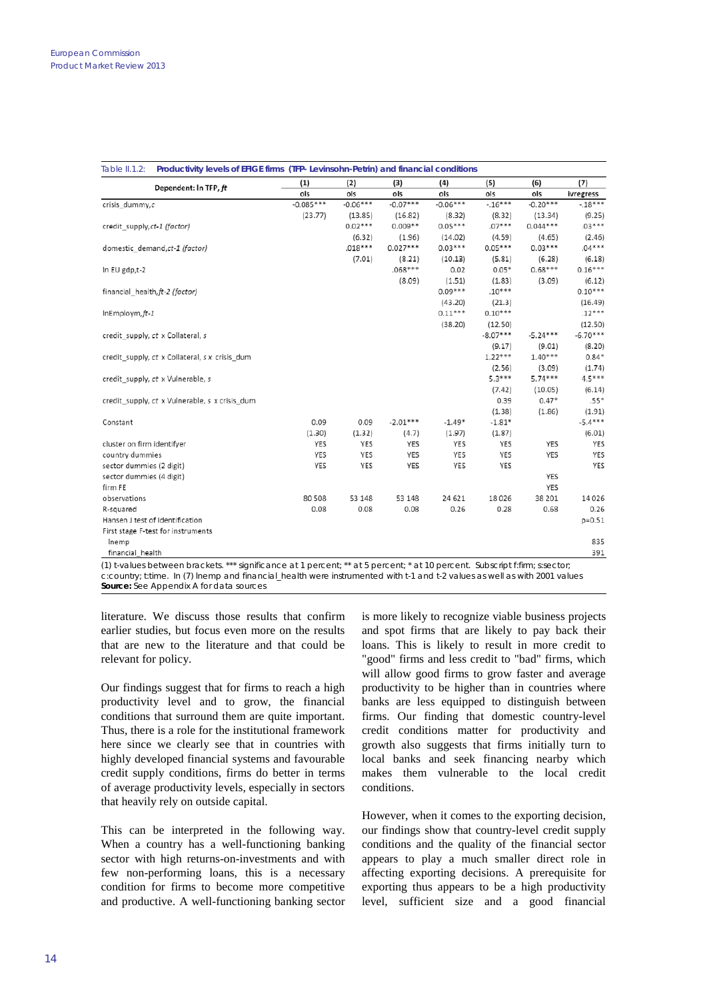| Dependent: In TFP, ft                          | (1)         | (2)        | (3)        | (4)        | (5)        | (6)        | (7)        |  |
|------------------------------------------------|-------------|------------|------------|------------|------------|------------|------------|--|
|                                                | ols         | ols        | ols        | ols        | ols        | ols        | ivregress  |  |
| crisis dummy,c                                 | $-0.085***$ | $-0.06***$ | $-0.07***$ | $-0.06***$ | $-16***$   | $-0.20***$ | $-18***$   |  |
|                                                | (23.77)     | (13.85)    | (16.82)    | (8.32)     | (8.32)     | (13.34)    | (9.25)     |  |
| credit supply, ct-1 (factor)                   |             | $0.02***$  | $0.009**$  | $0.05***$  | $.07***$   | $0.044***$ | $.03***$   |  |
|                                                |             | (6.32)     | (1.96)     | (14.02)    | (4.59)     | (4.65)     | (2.46)     |  |
| domestic demand, ct-1 (factor)                 |             | $.018***$  | $0.027***$ | $0.03***$  | $0.05***$  | $0.03***$  | $.04***$   |  |
|                                                |             | (7.01)     | (8.21)     | (10.13)    | (5.81)     | (6.28)     | (6.18)     |  |
| In EU gdp,t-2                                  |             |            | $.068***$  | 0.02       | $0.05*$    | $0.68***$  | $0.16***$  |  |
|                                                |             |            | (8.09)     | (1.51)     | (1.83)     | (3.09)     | (6.12)     |  |
| financial health, ft-2 (factor)                |             |            |            | $0.09***$  | $.10***$   |            | $0.10***$  |  |
|                                                |             |            |            | (43.20)    | (21.3)     |            | (16.49)    |  |
| $InEmploym, ft-1$                              |             |            |            | $0.11***$  | $0.10***$  |            | $.12***$   |  |
|                                                |             |            |            | (38.20)    | (12.50)    |            | (12.50)    |  |
| credit_supply, ct x Collateral, s              |             |            |            |            | $-8.07***$ | $-5.24***$ | $-6.70***$ |  |
|                                                |             |            |            |            | (9.17)     | (9.01)     | (8.20)     |  |
| credit_supply, ct x Collateral, s x crisis_dum |             |            |            |            | $1.22***$  | $1.40***$  | $0.84*$    |  |
|                                                |             |            |            |            | (2.56)     | (3.09)     | (1.74)     |  |
| credit supply, ct x Vulnerable, s              |             |            |            |            | $5.3***$   | $5.74***$  | $4.5***$   |  |
|                                                |             |            |            |            | (7.42)     | (10.05)    | (6.14)     |  |
| credit_supply, ct x Vulnerable, s x crisis_dum |             |            |            |            | 0.39       | $0.47*$    | $.55*$     |  |
|                                                |             |            |            |            | (1.38)     | (1.86)     | (1.91)     |  |
| Constant                                       | 0.09        | 0.09       | $-2.01***$ | $-1.49*$   | $-1.81*$   |            | $-5.4***$  |  |
|                                                | (1.30)      | (1.32)     | (4.7)      | (1.97)     | (1.87)     |            | (6.01)     |  |
| cluster on firm identifyer                     | YES         | YES        | YES        | YES        | YES        | <b>YES</b> | YES        |  |
| country dummies                                | YES         | YES        | YES        | YES        | YES        | YES        | YES        |  |
| sector dummies (2 digit)                       | YES         | YES        | YES        | YES        | YES        |            | YES        |  |
| sector dummies (4 digit)                       |             |            |            |            |            | YES        |            |  |
| firm FE                                        |             |            |            |            |            | YES        |            |  |
| observations                                   | 80 508      | 53 148     | 53 148     | 24 621     | 18026      | 38 201     | 14026      |  |
| R-squared                                      | 0.08        | 0.08       | 0.08       | 0.26       | 0.28       | 0.68       | 0.26       |  |
| Hansen J test of Identification                |             |            |            |            |            |            | $p = 0.51$ |  |
| First stage F-test for instruments             |             |            |            |            |            |            |            |  |
| lnemp                                          |             |            |            |            |            |            | 835        |  |
| financial health                               |             |            |            |            |            |            | 391        |  |

(1) t-values between brackets. \*\*\* significance at 1 percent; \*\* at 5 percent; \* at 10 percent. Subscript f:firm; s:sector; c:country; t:time. In (7) lnemp and financial\_health were instrumented with t-1 and t-2 values as well as with 2001 values *Source:* See Appendix A for data sources

literature. We discuss those results that confirm earlier studies, but focus even more on the results that are new to the literature and that could be relevant for policy.

Our findings suggest that for firms to reach a high productivity level and to grow, the financial conditions that surround them are quite important. Thus, there is a role for the institutional framework here since we clearly see that in countries with highly developed financial systems and favourable credit supply conditions, firms do better in terms of average productivity levels, especially in sectors that heavily rely on outside capital.

This can be interpreted in the following way. When a country has a well-functioning banking sector with high returns-on-investments and with few non-performing loans, this is a necessary condition for firms to become more competitive and productive. A well-functioning banking sector is more likely to recognize viable business projects and spot firms that are likely to pay back their loans. This is likely to result in more credit to "good" firms and less credit to "bad" firms, which will allow good firms to grow faster and average productivity to be higher than in countries where banks are less equipped to distinguish between firms. Our finding that domestic country-level credit conditions matter for productivity and growth also suggests that firms initially turn to local banks and seek financing nearby which makes them vulnerable to the local credit conditions.

However, when it comes to the exporting decision, our findings show that country-level credit supply conditions and the quality of the financial sector appears to play a much smaller direct role in affecting exporting decisions. A prerequisite for exporting thus appears to be a high productivity level, sufficient size and a good financial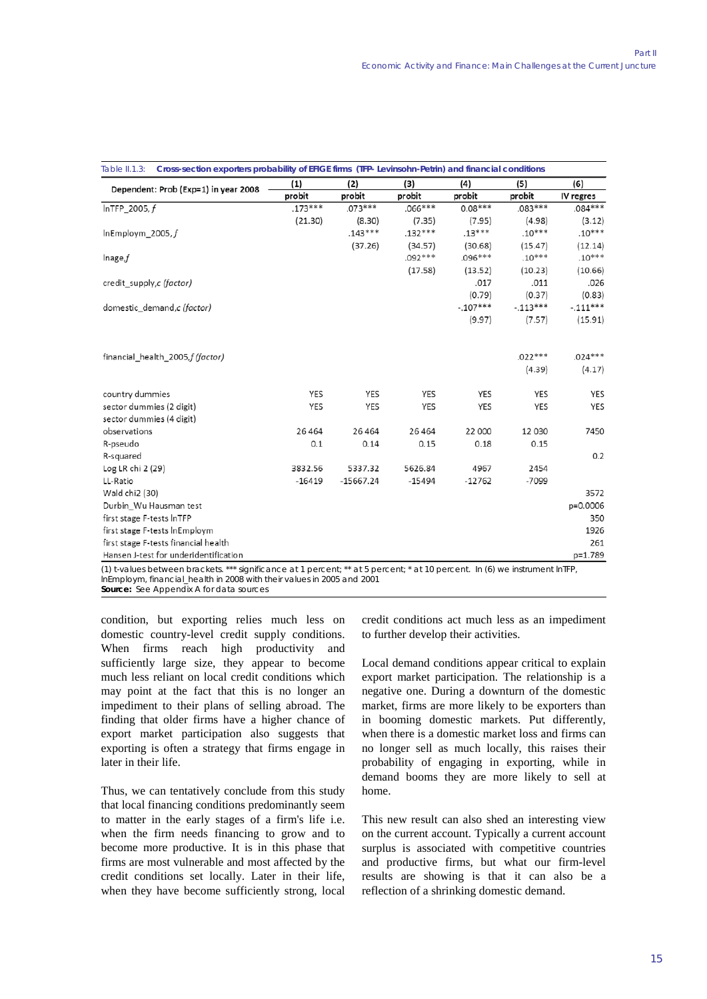| Dependent: Prob (Exp=1) in year 2008  | (1)        | (2)         | (3)       | (4)        | (5)        | (6)        |  |
|---------------------------------------|------------|-------------|-----------|------------|------------|------------|--|
|                                       | probit     | probit      | probit    | probit     | probit     | IV regres  |  |
| $InTFP_2005, f$                       | $.173***$  | $.073***$   | $.066***$ | $0.08***$  | $.083***$  | $.084***$  |  |
|                                       | (21.30)    | (8.30)      | (7.35)    | (7.95)     | (4.98)     | (3.12)     |  |
| InEmploym 2005, $f$                   |            | $.143***$   | $.132***$ | $.13***$   | $.10***$   | $.10***$   |  |
|                                       |            | (37.26)     | (34.57)   | (30.68)    | (15.47)    | (12.14)    |  |
| Inage,f                               |            |             | $.092***$ | $.096***$  | $.10***$   | $.10***$   |  |
|                                       |            |             | (17.58)   | (13.52)    | (10.23)    | (10.66)    |  |
| credit_supply,c (factor)              |            |             |           | .017       | .011       | .026       |  |
|                                       |            |             |           | (0.79)     | (0.37)     | (0.83)     |  |
| domestic demand, c (factor)           |            |             |           | $-.107***$ | $-.113***$ | $-.111***$ |  |
|                                       |            |             |           | (9.97)     | (7.57)     | (15.91)    |  |
|                                       |            |             |           |            |            |            |  |
| financial health 2005, f (factor)     |            |             |           |            | $.022***$  | $.024***$  |  |
|                                       |            |             |           |            | (4.39)     | (4.17)     |  |
| country dummies                       | YES        | YES         | YES       | YES        | YES        | YES        |  |
| sector dummies (2 digit)              | <b>YES</b> | YES         | YES       | <b>YES</b> | YES        | YES        |  |
| sector dummies (4 digit)              |            |             |           |            |            |            |  |
| observations                          | 26 4 64    | 26 4 64     | 26 4 64   | 22 000     | 12 0 30    | 7450       |  |
| R-pseudo                              | 0.1        | 0.14        | 0.15      | 0.18       | 0.15       |            |  |
| R-squared                             |            |             |           |            |            | 0.2        |  |
| Log LR chi 2 (29)                     | 3832.56    | 5337.32     | 5626.84   | 4967       | 2454       |            |  |
| LL-Ratio                              | $-16419$   | $-15667.24$ | $-15494$  | $-12762$   | $-7099$    |            |  |
| Wald chi2 (30)                        |            |             |           |            |            | 3572       |  |
| Durbin_Wu Hausman test                |            |             |           |            |            | p=0.0006   |  |
| first stage F-tests InTFP             |            |             |           |            |            | 350        |  |
| first stage F-tests InEmploym         |            |             |           |            |            | 1926       |  |
| first stage F-tests financial health  |            |             |           |            |            | 261        |  |
| Hansen J-test for underidentification |            |             |           |            |            | p=1.789    |  |

(1) t-values between brackets. \*\*\* significance at 1 percent; \*\* at 5 percent; \* at 10 percent. In (6) we instrument lnTFP, lnEmploym, financial\_health in 2008 with their values in 2005 and 2001

*Source:* See Appendix A for data sources

condition, but exporting relies much less on domestic country-level credit supply conditions. When firms reach high productivity and sufficiently large size, they appear to become much less reliant on local credit conditions which may point at the fact that this is no longer an impediment to their plans of selling abroad. The finding that older firms have a higher chance of export market participation also suggests that exporting is often a strategy that firms engage in later in their life.

Thus, we can tentatively conclude from this study that local financing conditions predominantly seem to matter in the early stages of a firm's life i.e. when the firm needs financing to grow and to become more productive. It is in this phase that firms are most vulnerable and most affected by the credit conditions set locally. Later in their life, when they have become sufficiently strong, local credit conditions act much less as an impediment to further develop their activities.

Local demand conditions appear critical to explain export market participation. The relationship is a negative one. During a downturn of the domestic market, firms are more likely to be exporters than in booming domestic markets. Put differently, when there is a domestic market loss and firms can no longer sell as much locally, this raises their probability of engaging in exporting, while in demand booms they are more likely to sell at home.

This new result can also shed an interesting view on the current account. Typically a current account surplus is associated with competitive countries and productive firms, but what our firm-level results are showing is that it can also be a reflection of a shrinking domestic demand.